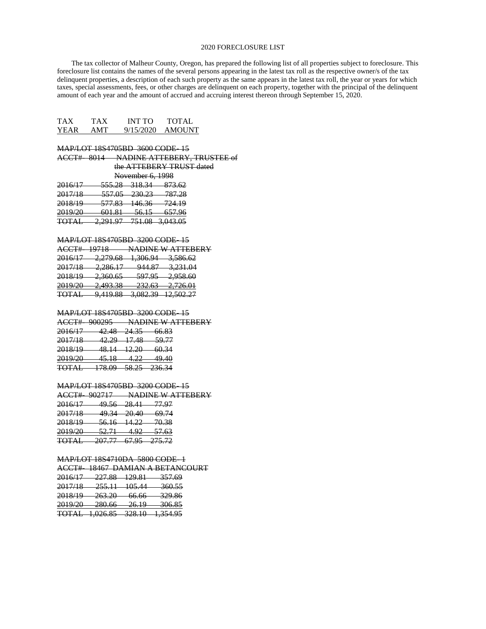### 2020 FORECLOSURE LIST

 The tax collector of Malheur County, Oregon, has prepared the following list of all properties subject to foreclosure. This foreclosure list contains the names of the several persons appearing in the latest tax roll as the respective owner/s of the tax delinquent properties, a description of each such property as the same appears in the latest tax roll, the year or years for which taxes, special assessments, fees, or other charges are delinquent on each property, together with the principal of the delinquent amount of each year and the amount of accrued and accruing interest thereon through September 15, 2020.

| TAX         | TAX | <b>INT TO</b> | <b>TOTAL</b>  |
|-------------|-----|---------------|---------------|
| <b>YEAR</b> | AMT | 9/15/2020     | <b>AMOUNT</b> |

MAP/LOT 18S4705BD 3600 CODE- 15 ACCT#- 8014 NADINE ATTEBERY, TRUSTEE of

| the ATTEBERY TRUST dated |
|--------------------------|
| November 6, 1998         |

| 2016/17<br><del>2010/17</del> | 555 79<br>JJJ.LU            | 219 24<br><del>,,,,,,,</del> | 97362<br><del>01.J.UZ</del> |
|-------------------------------|-----------------------------|------------------------------|-----------------------------|
| 2017/18                       | 557.05                      | 220.23                       | <del>787.28</del>           |
| 2011/10<br>2018/10            | <del>JJ7.0J</del><br>577 Q2 | 230.ZJ<br>11636              |                             |
| <del>2010/17</del>            | <del>377.03</del>           | <del>140.JU</del>            | <del>724.19</del>           |
| 2010/20<br>2012/20            | 601 Q1<br>001.01            | 56 15<br>JU.IJ               | 657.96                      |
| <b>TOTAI</b>                  | 2.201.07                    |                              |                             |
|                               | 2, 2, 7, 7, 7               |                              | <del>751.08 3,043.05</del>  |

#### MAP/LOT 18S4705BD 3200 CODE- 15

ACCT#- 19718 NADINE W ATTEBERY

| 2016/17           | 2.270.68                     | 1.306.04                    | 35866                           |
|-------------------|------------------------------|-----------------------------|---------------------------------|
| 201011            | 2,212.00                     | <del>1,500.77</del>         | <del>,,,oo.oz</del>             |
| 2017/18<br>201110 | 2.28617<br>2,200.17          | $0.44\,$ $97$<br>777.OT     | 2 221 04<br><del>J,2JI.VT</del> |
|                   |                              |                             |                                 |
| 2018/10<br>201011 | 25055<br><del>2,500.05</del> | 507.05<br><del>,,,,,,</del> | <u>ን በ5ዩ ሬስ</u><br>2,700.00     |
| 2010/20           | 2.402.28                     | 22262                       | 2.72601                         |
| 201770            | <del>2,123.30</del>          | <i>LJL.</i> 00              | 2,720.01                        |
| <b>TOTAL</b>      | 0.410.99                     | 2 092 20                    | 12.502.27                       |
| 1011H             | <del>,,,,,,,,,</del>         | <del>,,,,,,,,</del>         | 12.JV2.ZT                       |

#### MAP/LOT 18S4705BD 3200 CODE- 15

ACCT#- 900295 NADINE W ATTEBERY

| 2016/17                                  | 12 I.R<br>tz. Tu        | 24.35                    | 66.83            |
|------------------------------------------|-------------------------|--------------------------|------------------|
| 2017/10<br><del>2017/10</del>            | 42.ZY                   | <del>42.29 17.48</del>   | <del>59.77</del> |
| 2018/19                                  | 48.14 <del>.12.20</del> |                          | 60.34            |
| 2010/20                                  | 15 1 Q                  | $\triangle$              | 49.40            |
| <del>2017/20</del><br>$T\cap T \wedge I$ | 4. J. IO<br>179 AO      | 59.75                    | 226.24           |
| <del>nom</del>                           | 170.VZ                  | $\overline{\phantom{a}}$ |                  |

### MAP/LOT 18S4705BD 3200 CODE- 15

ACCT#- 902717 NADINE W ATTEBERY 2016/17 49.56 28.41 77.97 2017/18 49.34 20.40 69.74 2018/19 56.16 14.22 70.38<br>2019/20 52.71 4.92 57.63  $52.71 - 4.92$ TOTAL 207.77 67.95 275.72

### MAP/LOT 18S4710DA 5800 CODE- 1

ACCT#- 18467 DAMIAN A BETANCOURT

| 2016/17<br><del>2010/17</del> | າາາ ຈຈ<br>221.OU           | 120 Q 1<br>$+27.01$          | <del>357.69</del>   |
|-------------------------------|----------------------------|------------------------------|---------------------|
| 2017/18<br><del>2017/10</del> | 75511<br><del>233.11</del> | 105.44<br><del>103. TT</del> | <del>360.55</del>   |
| 2018/10                       | 263.20                     | 66 66                        | 220 QG              |
| 2010/17<br>2010/20            | 20.7.20<br><b>220 GG</b>   | UU.UU<br>26.10               | 327.OU<br>306.85    |
| 2012/20                       | 200.00                     | 20.17<br>228.10              | 300.OJ              |
|                               | <b>TOTAL</b> 1,026.85      | 720.10                       | <del>1,354.95</del> |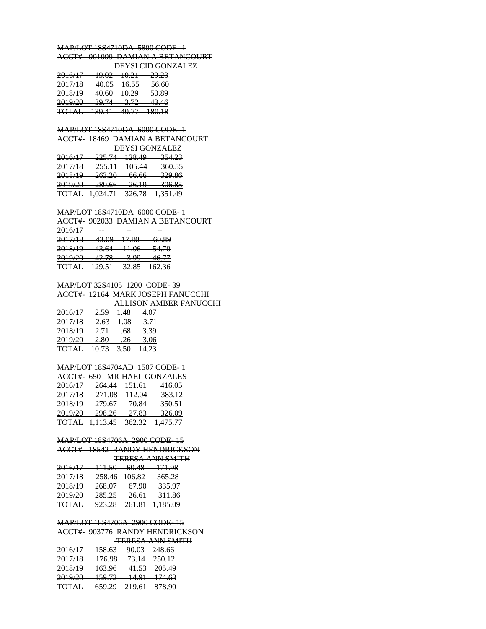MAP/LOT 18S4710DA 5800 CODE- 1 ACCT#- 901099 DAMIAN A BETANCOURT DEYSI CID GONZALEZ 2016/17 19.02 10.21 29.23 2017/18 40.05 16.55 56.60 2018/19 40.60 10.29 50.89 2019/20 39.74 3.72 43.46 TOTAL 139.41 40.77 180.18 MAP/LOT 18S4710DA 6000 CODE- 1 ACCT#- 18469 DAMIAN A BETANCOURT DEYSI GONZALEZ 2016/17 225.74 128.49 354.23 2017/18 255.11 105.44 360.55 2018/19 263.20 66.66 329.86 2019/20 280.66 26.19 306.85 TOTAL 1,024.71 326.78 1,351.49 MAP/LOT 18S4710DA 6000 CODE- 1 ACCT#- 902033 DAMIAN A BETANCOURT 2016/17 -- -- -- 2017/18 43.09 17.80 60.89 2018/19 43.64 11.06 54.70 2019/20 42.78 3.99 46.77 TOTAL 129.51 32.85 162.36

MAP/LOT 32S4105 1200 CODE- 39 ACCT#- 12164 MARK JOSEPH FANUCCHI ALLISON AMBER FANUCCHI 2016/17 2.59 1.48 4.07 2017/18 2.63 1.08 3.71 2018/19 2.71 .68 3.39 2019/20 2.80 .26 3.06 TOTAL 10.73 3.50 14.23

# MAP/LOT 18S4704AD 1507 CODE- 1

|         |                |        | ACCT#- 650 MICHAEL GONZALES |
|---------|----------------|--------|-----------------------------|
| 2016/17 | 264.44         | 151.61 | 416.05                      |
| 2017/18 | 271.08         | 112.04 | 383.12                      |
| 2018/19 | 279.67         | 70.84  | 350.51                      |
| 2019/20 | 298.26         | 27.83  | 326.09                      |
|         | TOTAL 1.113.45 |        | 362.32 1.475.77             |

### MAP/LOT 18S4706A 2900 CODE- 15

ACCT#- 18542 RANDY HENDRICKSON TERESA ANN SMITH

| 2016/17                   | 111 5 O          | 60. J.R          | 171.98                       |
|---------------------------|------------------|------------------|------------------------------|
| <del>2010 - 11 - 11</del> | <del>.</del>     | UU.TU            |                              |
| 2017/10                   | 250 A6 10602     |                  | 265.28                       |
| 201770                    | 290.TV 100.02    |                  | 30J.ZO                       |
| 2018/10                   | 268.07           | 67 OO            | 335.07                       |
| <del>2010/17</del>        | 200.VT           | <del>07.ZU</del> | 333.97                       |
| 2010/20                   | つのく つく           | 26.61            | <del>311.86</del>            |
| 2012/20<br><b>TOTAL</b>   | 20J.ZJ<br>იიი იი | 20.OI            |                              |
| <del>1011111</del>        | 72.7.70          |                  | <del>261.81 - 1,185.09</del> |

## MAP/LOT 18S4706A 2900 CODE- 15

ACCT#- 903776 RANDY HENDRICKSON TERESA ANN SMITH

| 2016/17            | 15862                    | 00.02                    | <del>248.66</del>         |
|--------------------|--------------------------|--------------------------|---------------------------|
| <del>2010/17</del> | 130.UJ                   | 70.UJ                    |                           |
| 2017/18            | 1760                     | 73 1 A                   | <del>-250.12</del>        |
| <del>2017/10</del> | <del>170.zo</del>        | <del>, , , , , , ,</del> |                           |
| 2018/10            | 16306                    | 41.53 —                  | <del>205.49</del>         |
| 201017<br>2010/20  | 103.20<br>150.72         |                          |                           |
| 2012/20            | 137. L                   |                          | <del>14.91 - 174.63</del> |
| <b>TOTAI</b>       | 650.20                   | 210.61                   | 878.90                    |
| 101.ID             | <i><del>007.47</del></i> | <del>217.VII</del>       |                           |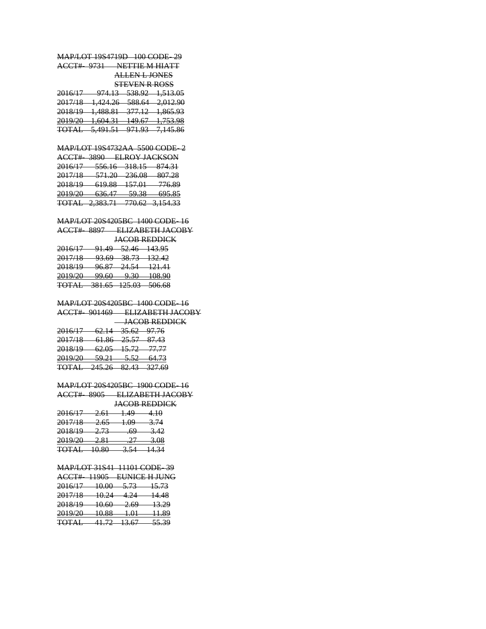MAP/LOT 19S4719D 100 CODE- 29 ACCT#- 9731 NETTIE M HIATT ALLEN L JONES STEVEN R ROSS 2016/17 974.13 538.92 1,513.05

|                                  |                                   |                              | - , - - - - - -              |
|----------------------------------|-----------------------------------|------------------------------|------------------------------|
| 2017/18<br><del>2017/10</del>    | 1.121.26<br>1 <del>,424.20</del>  | 500 GA<br><del>,,,,,,,</del> | <del>2,012.90</del>          |
| 2018/10                          | 1 100 Q1                          | 27710                        | <del>1,865.93</del>          |
| 2010/17                          | <del>1,400.01</del>               | 311.IZ                       |                              |
| 2010/20<br>2012/20               | 1 GOA 21<br>1,00 <del>1.J</del> 1 | 140.67<br>17.01              | 1753.09<br>1,7 <i>33.7</i> 0 |
| <b>TOTAI</b><br><del>ivind</del> | 5 401 51<br>3,11.31               | 071.02<br><del>,,,,,</del>   | <del>7,145.86</del>          |
|                                  |                                   |                              |                              |

### MAP/LOT 19S4732AA 5500 CODE- 2

| ACCT# 3800 FLROVIACKSON<br><del>,,,,,,,,,,,,,,,,,,,,,,,,,,,</del> |
|-------------------------------------------------------------------|
| Q71 21<br><del>.</del>                                            |
| 807 28<br>$\sigma$                                                |
| <del>776.89 -</del>                                               |
| 605.R5<br><del>,,,,,,,,</del>                                     |
| <del>770.62 - 3,154.33</del>                                      |
|                                                                   |

### MAP/LOT 20S4205BC 1400 CODE- 16 ACCT#- 8897 ELIZABETH JACOBY

#### JACOB REDDICK

| 2016/17            | 01.40                       | <del>52.46 143.95</del>   |                           |
|--------------------|-----------------------------|---------------------------|---------------------------|
| 201011             | <del>,</del>                |                           |                           |
| 2017/18            | 02. KO                      |                           | <del>38.73 - 132.42</del> |
| <del>2011/10</del> | ,,,,,,                      |                           |                           |
| 2018/10<br>2010/17 | 06.87                       | 24.54<br><del>74.J4</del> | <u> 121.41</u>            |
|                    | 70.OT                       |                           |                           |
| 2010/20<br>2012/20 | $00 \; \epsilon 0$<br>22.VV | 0.20<br>2.JU              | 108.90                    |
|                    |                             |                           |                           |
| TOT A I            | 281 65 105 02               |                           | 506.68                    |
| 101.ID             | . <del>.</del>              | 123.VJ                    | .,,,,,,,,,,               |

## MAP/LOT 20S4205BC 1400 CODE- 16

ACCT#- 901469 ELIZABETH JACOBY JACOB REDDICK

| 2016/17<br><del>2010/17</del>    | <u>62.14 35.62 97.76</u>         |        |
|----------------------------------|----------------------------------|--------|
| 2017/18<br><del>2017/10</del>    | <del>61.86 25.57 87.43</del>     |        |
| 2018/10<br>20101                 | <del>62.05 - 15.72 - 77.77</del> |        |
| 2010/20<br>2017/20               | <del>59.21   5.52</del>          | -64.73 |
| <b>TOTAL</b> 245.26 82.43 327.69 |                                  |        |
|                                  |                                  |        |

### MAP/LOT 20S4205BC 1900 CODE- 16 ACCT#- 8905 ELIZABETH JACOBY

#### JACOB REDDICK

| 2016/17                                 | 2.61            | 1.49  | 4.10        |
|-----------------------------------------|-----------------|-------|-------------|
| 2017/18<br><del>2017/10</del>           | 2.65            | 1.09  | 3.74        |
| 2018/10<br>2010/12                      | 2.73            | .69   | 3.42        |
| 2010/20<br>201770                       | 2 Q 1<br>2.01   | $-27$ | 200<br>J.VO |
| $T\cap T \wedge I$<br><del>100000</del> | 1 ሰ ዩስ<br>rv.ov | 3 5 A | 14.34       |

#### MAP/LOT 31S41 11101 CODE- 39

ACCT#- 11905 EUNICE H JUNG 2016/17 10.00 5.73 15.73 2017/18 10.24 4.24 14.48 2018/19 10.60 2.69 13.29 2019/20 10.88 1.01 11.89 TOTAL 41.72 13.67 55.39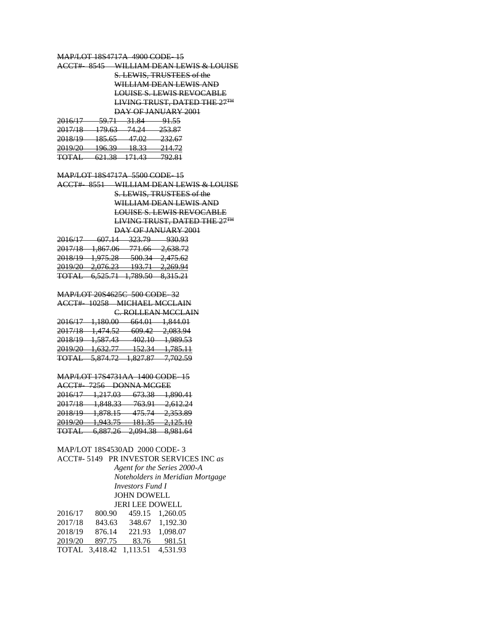### MAP/LOT 18S4717A 4900 CODE- 15

|  |             |                                   | WII I IAM DEAN I EWIS & LOUISE<br><del>wilaa wi dan u la wis &amp; LOCISE</del> |
|--|-------------|-----------------------------------|---------------------------------------------------------------------------------|
|  |             | S. LEWIS, TRUSTEES of the         |                                                                                 |
|  |             | <del>WILLIAM DEAN LEWIS AND</del> |                                                                                 |
|  |             | LOUISE S. LEWIS REVOCABLE         |                                                                                 |
|  |             | LIVING TRUST, DATED THE 27TH      |                                                                                 |
|  |             | <del>DAY OF JANUARY 2001</del>    |                                                                                 |
|  | 50.71 31.94 |                                   |                                                                                 |

| <del>2010/17</del> | ., <del>,,,,,</del> | - 51.04 | 71.JJ   |
|--------------------|---------------------|---------|---------|
| 2017/18            | 170.62              | 71 21   | 752 Q7  |
| <del>2017/10</del> | 17.UJ               | 77.ZT   | 233.OT  |
| 2010/10            | 105 <sub>65</sub>   | 17.02   | 2225    |
| <del>2010/17</del> | 10J.UJ              | 47.VZ   | 232.UT  |
| 2010/20            | 106.20              | 19 22   | 214.72  |
| <del>2017/20</del> | 170.JZ              | 10.JJ   | 21 T.TZ |
| <b>TOTAI</b>       | 621.28              | 171 42  | 702.91  |
| 101.ID             | 0.41.50             | 171.TJ  | 122.01  |

### MAP/LOT 18S4717A 5500 CODE- 15

ACCT#- 8551 WILLIAM DEAN LEWIS & LOUISE S. LEWIS, TRUSTEES of the WILLIAM DEAN LEWIS AND LOUISE S. LEWIS REVOCABLE LIVING TRUST, DATED THE 27TH DAY OF JANUARY 2001 2016/17 607.14 323.79 930.93

| 2.638.72<br>2017/18<br>1 የሬ7 ሰሬ<br>771.66<br>2,000.72<br>1,007.00<br>201110<br>11.00<br>500.24<br>2018/10<br>1.075.29<br>2.475.62<br>$2, 41$ $5.02$<br>201011<br>1,715.20<br><del>JUU.JT</del><br>102.71<br>2010/20<br>2.260.04<br>2.076.23<br>201770<br>2,20,7.7<br>175.11<br>2.010.20<br><b>TOTAI</b><br>1 790 50<br>$Q$ 215 71<br>6 575 71<br>101.ID<br>0,JIJ.ZI<br>0,020.11<br>1,702.JU | 1116/17<br>201011 | 60 L L L L<br>$\sigma$ | $\sim$ $\sim$ $\sim$<br><i>JLJ.17</i> | 93093<br>,,,,,, |
|---------------------------------------------------------------------------------------------------------------------------------------------------------------------------------------------------------------------------------------------------------------------------------------------------------------------------------------------------------------------------------------------|-------------------|------------------------|---------------------------------------|-----------------|
|                                                                                                                                                                                                                                                                                                                                                                                             |                   |                        |                                       |                 |
|                                                                                                                                                                                                                                                                                                                                                                                             |                   |                        |                                       |                 |
|                                                                                                                                                                                                                                                                                                                                                                                             |                   |                        |                                       |                 |
|                                                                                                                                                                                                                                                                                                                                                                                             |                   |                        |                                       |                 |
|                                                                                                                                                                                                                                                                                                                                                                                             |                   |                        |                                       |                 |
|                                                                                                                                                                                                                                                                                                                                                                                             |                   |                        |                                       |                 |
|                                                                                                                                                                                                                                                                                                                                                                                             |                   |                        |                                       |                 |

### MAP/LOT 20S4625C 500 CODE- 32

### ACCT#- 10258 MICHAEL MCCLAIN C. ROLLEAN MCCLAIN

| 2016/17<br>2010/17            | 1 1 የ በ በበ<br>1,100.00        | 664 01<br><del>004.01</del> | <del>1,844.01</del>  |
|-------------------------------|-------------------------------|-----------------------------|----------------------|
| 2017/18                       | 1.474.50                      | 600A2                       | 2.002.04             |
| <del>2017/10</del>            | 1, <del>474.32</del>          | <del>,,,,,,</del>           | 2,003.77             |
| 2018/10<br><del>2010/17</del> | 159742<br><del>1,J07.TJ</del> | 402. IO<br>tvz. I v         | <del>1,989.53</del>  |
| 2010/20                       | 1.622.77                      | 15221                       | <del>1,785.11</del>  |
| 2012720                       | 1,0,2,11                      | 1 <i>32.3</i> 7             |                      |
| <b>TOTAI</b><br>1011H         | 5 971 72<br>7.017.12          | 1 Q 27 Q 27<br>1,021.01     | 7 702 50<br>7,702.JZ |

#### MAP/LOT 17S4731AA 1400 CODE- 15

| $\Lambda$ $CCTH$                                                                                                                             |  |
|----------------------------------------------------------------------------------------------------------------------------------------------|--|
| 7256 DONNA MCGEE<br>ACC1#                                                                                                                    |  |
| <del>1,217.03</del><br>673.38<br><del>1,890.41</del><br><del>2016/17</del>                                                                   |  |
| 1 949 22<br>2017/19<br>762.01<br><del>2,612.24</del><br>703.91<br><del>2017/10</del><br>1,0T0.JJ                                             |  |
| 233.80<br>2018/10<br>1 070 15<br>175 71<br><del>4,333.07</del><br>2010/17<br><del>175.77</del><br>1,070.1J                                   |  |
| 2010/20<br>10125<br><del>2,125.10</del><br>1.042.75<br>101.JJ<br>2017/20<br>1, <del>,,,,,,,</del>                                            |  |
| <b>Q 001 61</b><br>TOT A I<br>2004.28<br>6 997 76<br><del>101710</del><br><del>,,,,,,,,,</del><br><del>0,007.20</del><br><del>2,077.30</del> |  |

# MAP/LOT 18S4530AD 2000 CODE- 3

## ACCT#- 5149 PR INVESTOR SERVICES INC *as*

*Agent for the Series 2000-A Noteholders in Meridian Mortgage Investors Fund I* JOHN DOWELL JERI LEE DOWELL

| 2016/17 | 800.90                  | 459.15 | 1.260.05 |
|---------|-------------------------|--------|----------|
| 2017/18 | 843.63                  | 348.67 | 1.192.30 |
| 2018/19 | 876.14                  | 221.93 | 1.098.07 |
| 2019/20 | 897.75                  | 83.76  | 981.51   |
|         | TOTAL 3,418.42 1,113.51 |        | 4,531.93 |